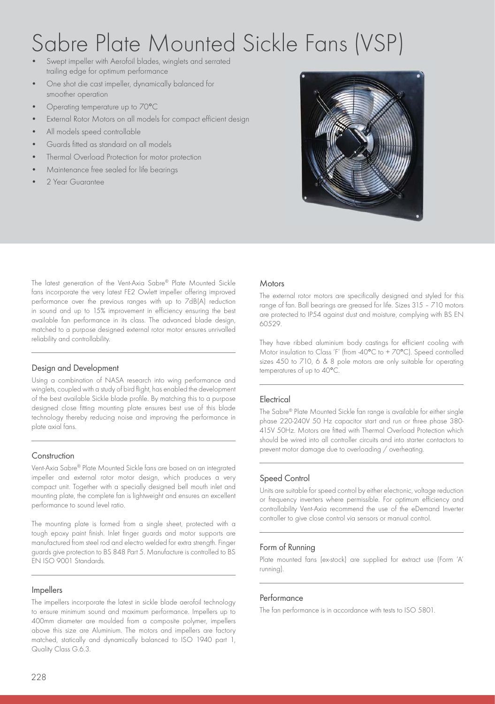# Sabre Plate Mounted Sickle Fans (VSP)

- Swept impeller with Aerofoil blades, winglets and serrated trailing edge for optimum performance
- One shot die cast impeller, dynamically balanced for smoother operation
- Operating temperature up to 70°C
- External Rotor Motors on all models for compact efficient design
- All models speed controllable
- Guards fitted as standard on all models
- Thermal Overload Protection for motor protection
- Maintenance free sealed for life bearings
- 2 Year Guarantee

The latest generation of the Vent-Axia Sabre® Plate Mounted Sickle fans incorporate the very latest FE2 Owlett impeller offering improved performance over the previous ranges with up to 7dB(A) reduction in sound and up to 15% improvement in efficiency ensuring the best available fan performance in its class. The advanced blade design, matched to a purpose designed external rotor motor ensures unrivalled reliability and controllability.

#### Design and Development

Using a combination of NASA research into wing performance and winglets, coupled with a study of bird flight, has enabled the development of the best available Sickle blade profile. By matching this to a purpose designed close fitting mounting plate ensures best use of this blade technology thereby reducing noise and improving the performance in plate axial fans.

#### **Construction**

Vent-Axia Sabre® Plate Mounted Sickle fans are based on an integrated impeller and external rotor motor design, which produces a very compact unit. Together with a specially designed bell mouth inlet and mounting plate, the complete fan is lightweight and ensures an excellent performance to sound level ratio.

The mounting plate is formed from a single sheet, protected with a tough epoxy paint finish. Inlet finger guards and motor supports are manufactured from steel rod and electro welded for extra strength. Finger guards give protection to BS 848 Part 5. Manufacture is controlled to BS EN ISO 9001 Standards.

#### Impellers

The impellers incorporate the latest in sickle blade aerofoil technology to ensure minimum sound and maximum performance. Impellers up to 400mm diameter are moulded from a composite polymer, impellers above this size are Aluminium. The motors and impellers are factory matched, statically and dynamically balanced to ISO 1940 part 1, Quality Class G.6.3.

#### **Motors**

The external rotor motors are specifically designed and styled for this range of fan. Ball bearings are greased for life. Sizes 315 – 710 motors are protected to IP54 against dust and moisture, complying with BS EN 60529.

They have ribbed aluminium body castings for efficient cooling with Motor insulation to Class 'F' (from -40°C to + 70°C). Speed controlled sizes 450 to 710, 6 & 8 pole motors are only suitable for operating temperatures of up to 40°C.

#### **Electrical**

The Sabre® Plate Mounted Sickle fan range is available for either single phase 220-240V 50 Hz capacitor start and run or three phase 380- 415V 50Hz. Motors are fitted with Thermal Overload Protection which should be wired into all controller circuits and into starter contactors to prevent motor damage due to overloading / overheating.

### Speed Control

Units are suitable for speed control by either electronic, voltage reduction or frequency inverters where permissible. For optimum efficiency and controllability Vent-Axia recommend the use of the eDemand Inverter controller to give close control via sensors or manual control.

#### Form of Running

Plate mounted fans (ex-stock) are supplied for extract use (Form 'A' running).

#### **Performance**

The fan performance is in accordance with tests to ISO 5801.

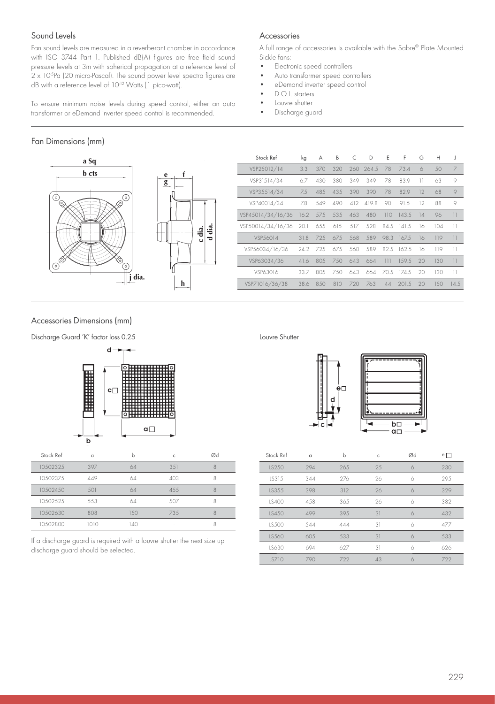#### Sound Levels

Fan sound levels are measured in a reverberant chamber in accordance with ISO 3744 Part 1. Published dB(A) figures are free field sound pressure levels at 3m with spherical propagation at a reference level of 2 x 10<sup>5</sup>Pa (20 micro-Pascal). The sound power level spectra figures are dB with a reference level of 10-12 Watts (1 pico-watt).

To ensure minimum noise levels during speed control, either an auto transformer or eDemand inverter speed control is recommended.

#### Fan Dimensions (mm)



| f<br>$rac{e}{g}$ |                  |  |
|------------------|------------------|--|
|                  | d dia.<br>c dia. |  |
| h                |                  |  |

| Stock Ref         | kg   | А    | B    | C   | D         | E    | F      | G         | Н   | J       |
|-------------------|------|------|------|-----|-----------|------|--------|-----------|-----|---------|
| VSP25012/14       | 3.3  | 370  | 320  |     | 260 264.5 | 78   | 73.4   | 6         | 50  | 7       |
| VSP31514/34       | 67   | 430  | 380  | 349 | 349       | 78   | 83.9   | 11        | 63  | 9       |
| VSP35514/34       | 7.5  | 48.5 | 435  | 390 | 390       | 78   | 829    | $12^{12}$ | 68  | $\circ$ |
| VSP40014/34       | 7.8  | 549  | 490  | 412 | 419.8     | 90   | 91.5   | $12 \,$   | 88  | 9       |
| VSP45014/34/16/36 | 16.2 | 575  | 535  | 463 | 480       | 110  | 143.5  | 14        | 96  | 11      |
| VSP50014/34/16/36 | 20.1 | 655  | 615  | 517 | 528       | 84.5 | 141.5  | 16        | 104 | 11      |
| VSP56014          | 31.8 | 725  | 675  | 568 | 589       | 98.3 | 167.5  | 16        | 119 | 11      |
| VSP56034/16/36    | 24.2 | 725  | 67.5 | 568 | 589       | 82.5 | 162.5  | 16        | 119 | 11      |
| VSP63034/36       | 41.6 | 805  | 750  | 643 | 664       | 111  | 1.59.5 | 20        | 130 | 11      |
| VSP63016          | 33.7 | 805  | 750  | 643 | 664       | 70.5 | 174.5  | 20        | 130 | 11      |
| VSP71016/36/38    | 38.6 | 8.50 | 810  | 720 | 763       | 44   | 201.5  | 20        | 150 | 14.5    |

A full range of accessories is available with the Sabre® Plate Mounted

#### Accessories Dimensions (mm)

Discharge Guard 'K' factor loss 0.25 Louvre Shutter



| Stock Ref | $\Omega$ | h   | Ċ      | Ød |
|-----------|----------|-----|--------|----|
| 10502325  | 397      | 64  | 3.51   | 8  |
| 10502375  | 449      | 64  | 403    | 8  |
| 10502450  | 501      | 64  | 4.5.5  |    |
| 10502525  | 553      | 64  | 507    | Я  |
| 10502630  | 808      | .50 | 735    |    |
| 10502800  | 1010     | 40  | $\sim$ | 8  |

If a discharge guard is required with a louvre shutter the next size up discharge guard should be selected.

Accessories

Sickle fans:<br>• Flectro

• D.O.L. starters<br>• Louvre shutter Louvre shutter • Discharge guard

• Electronic speed controllers • Auto transformer speed controllers • eDemand inverter speed control



| Stock Ref | $\alpha$ | b    | C  | Ød | $e$ $\Box$ |
|-----------|----------|------|----|----|------------|
| LS250     | 294      | 265  | 25 | 6  | 230        |
| IS315     | 344      | 276  | 26 | 6  | 29.5       |
| LS355     | 398      | 312  | 26 | 6  | 329        |
| IS400     | 4.58     | 36.5 | 26 | 6  | 382        |
| LS450     | 499      | 39.5 | 31 | 6  | 432        |
| LS500     | 544      | 444  | 31 | 6  | 477        |
| IS560     | 60.5     | 533  | 31 | 6  | 533        |
| LS630     | 694      | 627  | 31 | 6  | 626        |
| LS710     | 790      | 722  | 43 | 6  | 722        |

229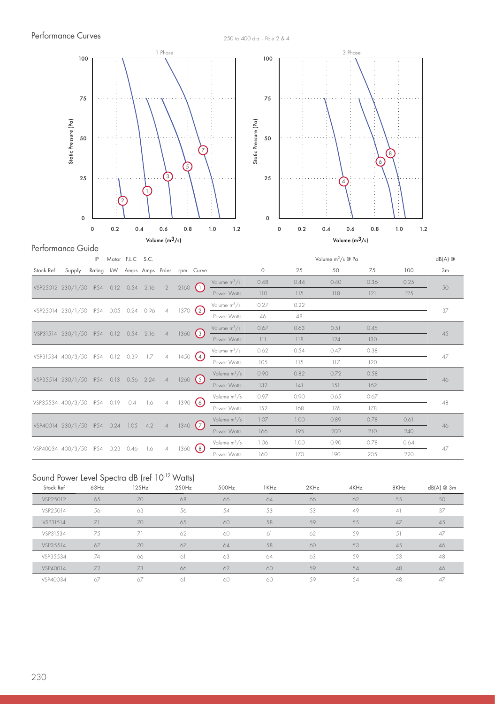

|           |                             | IP     |      | Motor F.L.C S.C. |                           |                |              |                  |                |                                    |      | Volume m <sup>3</sup> /s @ Pa |      |      | $dB(A)$ @ |
|-----------|-----------------------------|--------|------|------------------|---------------------------|----------------|--------------|------------------|----------------|------------------------------------|------|-------------------------------|------|------|-----------|
| Stock Ref | Supply                      | Rating | kW   |                  | Amps Amps Poles rpm Curve |                |              |                  |                | 0                                  | 25   | 50                            | 75   | 100  | 3m        |
|           |                             |        |      |                  |                           |                |              |                  | Volume $m^3/s$ | 0.48                               | 0.44 | 0.40                          | 0.36 | 0.25 |           |
|           | VSP25012 230/1/50 IP54      |        | 0.12 | 0.54             | 2.16                      | $\overline{2}$ | 2160         | $\mathbf{U}$     | Power Watts    | 110                                | 115  | 118                           | 121  | 125  | 50        |
|           | VSP25014 230/1/50 IP54      |        | 0.05 | 0.24             | 0.96                      | $\overline{4}$ | 1370(2)      |                  | Volume $m^3/s$ | 0.27                               | 0.22 |                               |      |      | 37        |
|           |                             |        |      |                  |                           |                |              |                  | Power Watts    | 46                                 | 48   |                               |      |      |           |
|           | VSP31514 230/1/50 IP54      |        | 0.12 | 0.54             | 2.16                      | $\overline{4}$ | 1360 (3)     |                  | Volume $m^3/s$ | 0.67                               | 0.63 | 0.51                          | 0.45 |      | 45        |
|           |                             |        |      |                  |                           |                |              |                  | Power Watts    | $\begin{array}{c} 111 \end{array}$ | 118  | 124                           | 130  |      |           |
|           | VSP31534 400/3/50 IP54 0.12 |        |      | 0.39             | 17                        | $\overline{4}$ | 1450         | $\left(4\right)$ | Volume $m^3/s$ | 0.62                               | 0.54 | 0.47                          | 0.38 |      | 47        |
|           |                             |        |      |                  |                           |                |              |                  | Power Watts    | 105                                | 115  | 117                           | 120  |      |           |
|           | VSP35514 230/1/50 IP54      |        | 0.13 | 0.56             | 2.24                      | $\overline{4}$ | $1260$ $(5)$ |                  | Volume $m^3/s$ | 0.90                               | 0.82 | 0.72                          | 0.58 |      | 46        |
|           |                             |        |      |                  |                           |                |              |                  | Power Watts    | 132                                | 4    | 151                           | 162  |      |           |
|           | VSP35534 400/3/50 IP54      |        | 0.19 | 0.4              | - 1.6                     | $\overline{4}$ | 1390(6)      |                  | Volume $m^3/s$ | 0.97                               | 0.90 | 0.65                          | 0.67 |      | 48        |
|           |                             |        |      |                  |                           |                |              |                  | Power Watts    | 152                                | 168  | 176                           | 178  |      |           |
|           | VSP40014 230/1/50 IP54 0.24 |        |      | 1.05             | 4.2                       | $\overline{4}$ | 1340(7)      |                  | Volume $m^3/s$ | 1.07                               | 1.00 | 0.89                          | 0.78 | 0.61 | 46        |
|           |                             |        |      |                  |                           |                |              |                  | Power Watts    | 166                                | 195  | 200                           | 210  | 240  |           |
|           | VSP40034 400/3/50 IP54      |        | 0.23 | 0.46             | 1.6                       | $\overline{4}$ | 1360         | $\left(8\right)$ | Volume $m^3/s$ | 1.06                               | 1.00 | 0.90                          | 0.78 | 0.64 | 47        |
|           |                             |        |      |                  |                           |                |              |                  | Power Watts    | 160                                | 170  | 190                           | 205  | 220  |           |

# Sound Power Level Spectra dB (ref 10<sup>-12</sup> Watts)

| Stock Ref | 63Hz | 125Hz | 250Hz | 500Hz | 1KHz | 2KHz | 4KHz | 8KHz | dB(A) @ 3m |
|-----------|------|-------|-------|-------|------|------|------|------|------------|
| VSP25012  | 65   | 70    | 68    | 66    | 64   | 66   | 62   | 55   | 50         |
| VSP25014  | 56   | 63    | 56    | 54    | 53   | 53   | 49   | 41   | 37         |
| VSP31514  | 71   | 70    | 65    | 60    | 58   | 59   | 55   | 47   | -45        |
| VSP31534  | 75   | 71    | 62    | 60    | 61   | 62   | 59   | 51   | 47         |
| VSP35514  | 67   | 70    | 67    | 64    | 58   | 60   | 53   | 45   | 46         |
| VSP35534  | 74   | 66    | 61    | 63    | 64   | 63   | 59   | 53   | 48         |
| VSP40014  | 72   | 73    | 66    | 62    | 60   | 59   | 54   | 48   | 46         |
| VSP40034  | 67   | 67    | 61    | 60    | 60   | 59   | 54   | 48   | 47         |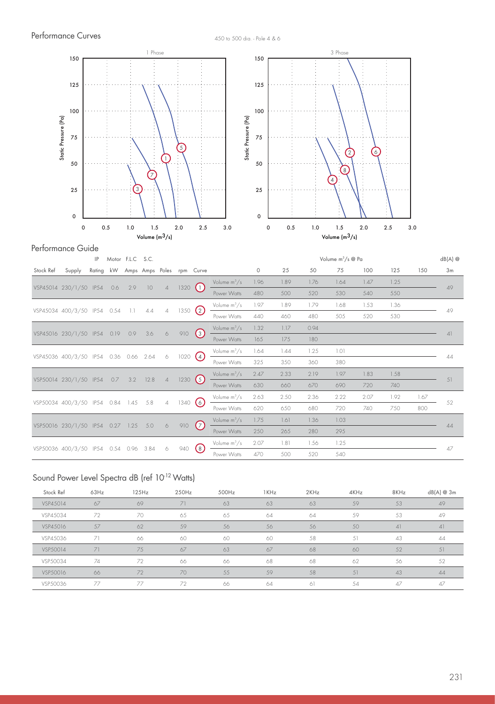

#### Performance Guide

|           |                                  | IP     |      | Motor F.L.C S.C. |                           |                |            |                    |                |      |      |      | Volume m <sup>3</sup> /s @ Pa |      |      |      | $dB(A)$ @ |
|-----------|----------------------------------|--------|------|------------------|---------------------------|----------------|------------|--------------------|----------------|------|------|------|-------------------------------|------|------|------|-----------|
| Stock Ref | Supply                           | Rating | kW   |                  | Amps Amps Poles rpm Curve |                |            |                    |                | 0    | 25   | 50   | 75                            | 100  | 125  | 150  | 3m        |
|           |                                  |        |      |                  |                           |                |            |                    | Volume $m^3/s$ | 1.96 | 1.89 | 1.76 | 1.64                          | 1.47 | 1.25 |      |           |
|           | VSP45014 230/1/50 IP54           |        | 0.6  | 2.9              | 10 <sup>°</sup>           | $\overline{4}$ | 1320(1)    |                    | Power Watts    | 480  | 500  | 520  | 530                           | 540  | 550  |      | 49        |
|           |                                  |        |      | 1.1              |                           |                |            |                    | Volume $m^3/s$ | 1.97 | 1.89 | 1.79 | 1.68                          | 1.53 | 1.36 |      | 49        |
|           | VSP45034 400/3/50 IP54 0.54      |        |      |                  | 4.4                       | $\overline{4}$ | 1350 $(2)$ |                    | Power Watts    | 440  | 460  | 480  | 505                           | 520  | 530  |      |           |
|           | VSP45016 230/1/50 IP54           |        | 0.19 | 0.9              | 3.6                       | 6              | 910        |                    | Volume $m^3/s$ | 1.32 | 1.17 | 0.94 |                               |      |      |      | 4         |
|           |                                  |        |      |                  |                           |                |            | $\left(3\right)$   | Power Watts    | 165  | 175  | 180  |                               |      |      |      |           |
|           | VSP45036 400/3/50 IP54           |        | 0.36 | 0.66             | 2.64                      | 6              | 1020(4)    |                    | Volume $m^3/s$ | 1.64 | 1.44 | 1.25 | 1.01                          |      |      |      | 44        |
|           |                                  |        |      |                  |                           |                |            |                    | Power Watts    | 325  | 350  | 360  | 380                           |      |      |      |           |
|           | VSP50014 230/1/50 IP54           |        | 0.7  | 3.2              | 12.8                      | $\overline{4}$ | 1230(5)    |                    | Volume $m^3/s$ | 2.47 | 2.33 | 2.19 | 1.97                          | 1.83 | 1.58 |      | 51        |
|           |                                  |        |      |                  |                           |                |            |                    | Power Watts    | 630  | 660  | 670  | 690                           | 720  | 740  |      |           |
|           | VSP50034 400/3/50 IP54 0.84      |        |      | 1.45             | 5.8                       | $\overline{4}$ | 1340(6)    |                    | Volume $m^3/s$ | 2.63 | 2.50 | 2.36 | 2.22                          | 2.07 | 1.92 | 1.67 | 52        |
|           |                                  |        |      |                  |                           |                |            |                    | Power Watts    | 620  | 650  | 680  | 720                           | 740  | 750  | 800  |           |
|           | VSP50016 230/1/50 IP54 0.27 1.25 |        |      |                  | 5.0                       | $\circ$        | 910        | (7)                | Volume $m^3/s$ | 1.75 | 1.61 | 1.36 | 1.03                          |      |      |      | 44        |
|           |                                  |        |      |                  |                           |                |            |                    | Power Watts    | 250  | 265  | 280  | 295                           |      |      |      |           |
|           | VSP50036 400/3/50 IP54           |        | 0.54 | 0.96             | 3.84                      | 6              | 940        | $\left( 8 \right)$ | Volume $m^3/s$ | 2.07 | 1.81 | 1.56 | 1.25                          |      |      |      | 47        |
|           |                                  |        |      |                  |                           |                |            |                    | Power Watts    | 470  | 500  | 520  | 540                           |      |      |      |           |

# Sound Power Level Spectra dB (ref 10<sup>-12</sup> Watts)

| Stock Ref | 63Hz | 125Hz | 250Hz | 500Hz | 1KHz | 2KHz | 4KHz | 8KHz | dB(A) @ 3m |
|-----------|------|-------|-------|-------|------|------|------|------|------------|
| VSP45014  | 67   | 69    | 71    | 63    | 63   | 63   | 59   | 53   | 49         |
| VSP45034  | 72   | 70    | 65    | 65    | 64   | 64   | 59   | 53   | 49         |
| VSP45016  | 57   | 62    | 59    | 56    | 56   | 56   | 50   | 41   | 41         |
| VSP45036  | 71   | 66    | 60    | 60    | 60   | 58   | 51   | 43   | 44         |
| VSP50014  | 71   | 75    | 67    | 63    | 67   | 68   | 60   | 52   | 51         |
| VSP50034  | 74   | 72    | 66    | 66    | 68   | 68   | 62   | -56  | 52         |
| VSP50016  | 66   | 72    | 70    | 55    | 59   | 58   | 51   | 43   | 44         |
| VSP50036  | 77   | 77    | 72    | 66    | 64   | 61   | 54   | 47   | 47         |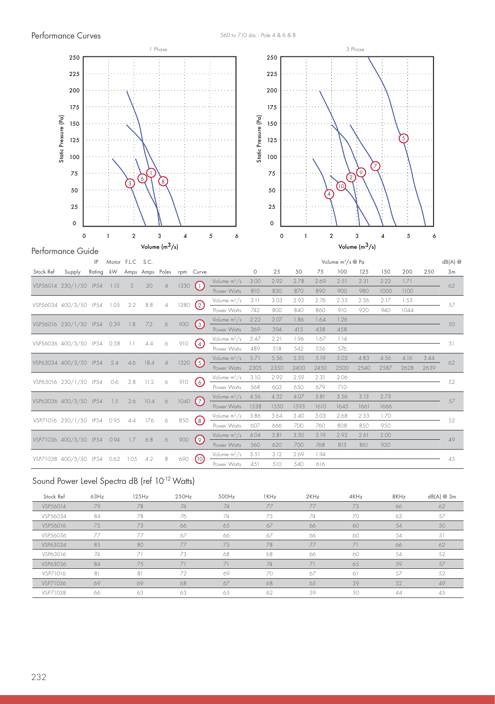

#### Sound Power Level Spectra dB (ref 10<sup>-12</sup> Watts)

| Stock Ref | 63Hz | 125Hz | 250Hz | 500Hz | 1KHz | 2KHz | 4KHz | 8KHz | dB(A) @ 3m |
|-----------|------|-------|-------|-------|------|------|------|------|------------|
| VSP56014  | 79   | 78    | 74    | 74    | 77   | 77   | 73   | 66   | 62         |
| VSP56034  | 84   | 78    | 76    | 74    | 75   | 74   | 70   | 63   | 57         |
| VSP56016  | 75   | 73    | 66    | 65    | 67   | 66   | 60   | 54   | 50         |
| VSP56036  | 77   | 77    | 67    | 66    | 67   | 66   | 60   | 54   | 51         |
| VSP63034  | 85   | 80    | 77    | 75    | 78   | 77   | 71   | 66   | 62         |
| VSP63016  | 74   |       | 73    | 68    | 68   | 66   | 60   | 54   | 52         |
| VSP63036  | 84   | 75    | 71    | 71    | 74   | 71   | 65   | 59   | 57         |
| VSP71016  | 81   | 81    | 72    | 69    | 70   | 67   | 61   | 57   | 52         |
| VSP71036  | 69   | 69    | 68    | 67    | 68   | 65   | 59   | 52   | 49         |
| VSP71038  | 66   | 63    | 63    | 65    | 62   | 59   | 50   | 44   | 45         |